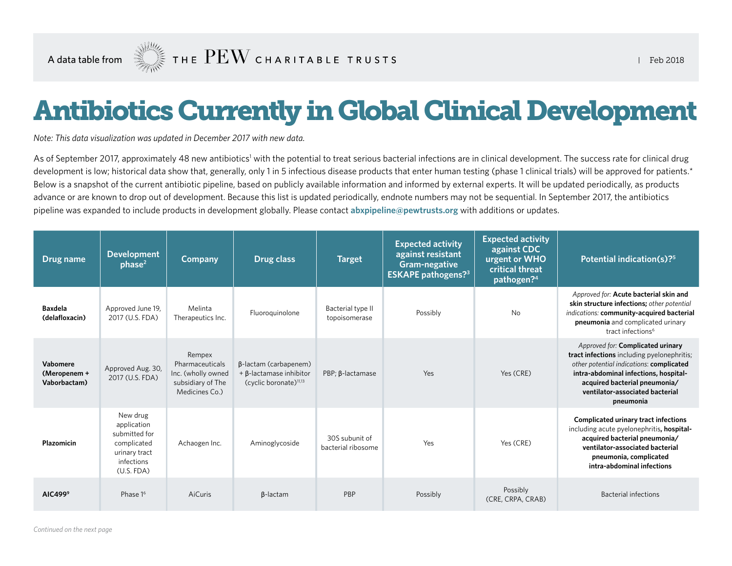# Antibiotics Currently in Global Clinical Development

*Note: This data visualization was updated in December 2017 with new data.*

As of September 2017, approximately 48 new antibiotics' with the potential to treat serious bacterial infections are in clinical development. The success rate for clinical drug development is low; historical data show that, generally, only 1 in 5 infectious disease products that enter human testing (phase 1 clinical trials) will be approved for patients.\* Below is a snapshot of the current antibiotic pipeline, based on publicly available information and informed by external experts. It will be updated periodically, as products advance or are known to drop out of development. Because this list is updated periodically, endnote numbers may not be sequential. In September 2017, the antibiotics pipeline was expanded to include products in development globally. Please contact **[abxpipeline@pewtrusts.org](mailto:abxpipeline@pewtrusts.org)** with additions or updates.

| Drug name                                | <b>Development</b><br>phase <sup>2</sup>                                                             | <b>Company</b>                                                                         | Drug class                                                                             | <b>Target</b>                        | <b>Expected activity</b><br>against resistant<br>Gram-negative<br><b>ESKAPE pathogens?</b> <sup>3</sup> | <b>Expected activity</b><br>against CDC<br>urgent or WHO<br>critical threat<br>pathogen? <sup>4</sup> | Potential indication(s)? <sup>5</sup>                                                                                                                                                                                                                 |
|------------------------------------------|------------------------------------------------------------------------------------------------------|----------------------------------------------------------------------------------------|----------------------------------------------------------------------------------------|--------------------------------------|---------------------------------------------------------------------------------------------------------|-------------------------------------------------------------------------------------------------------|-------------------------------------------------------------------------------------------------------------------------------------------------------------------------------------------------------------------------------------------------------|
| <b>Baxdela</b><br>(delafloxacin)         | Approved June 19,<br>2017 (U.S. FDA)                                                                 | Melinta<br>Therapeutics Inc.                                                           | Fluoroguinolone                                                                        | Bacterial type II<br>topoisomerase   | Possibly                                                                                                | No                                                                                                    | Approved for: Acute bacterial skin and<br>skin structure infections; other potential<br>indications: community-acquired bacterial<br>pneumonia and complicated urinary<br>tract infections <sup>6</sup>                                               |
| Vabomere<br>(Meropenem +<br>Vaborbactam) | Approved Aug. 30,<br>2017 (U.S. FDA)                                                                 | Rempex<br>Pharmaceuticals<br>Inc. (wholly owned<br>subsidiary of The<br>Medicines Co.) | β-lactam (carbapenem)<br>+ β-lactamase inhibitor<br>(cyclic boronate) <sup>11,13</sup> | PBP; B-lactamase                     | Yes                                                                                                     | Yes (CRE)                                                                                             | Approved for: Complicated urinary<br>tract infections including pyelonephritis;<br>other potential indications: complicated<br>intra-abdominal infections, hospital-<br>acquired bacterial pneumonia/<br>ventilator-associated bacterial<br>pneumonia |
| Plazomicin                               | New drug<br>application<br>submitted for<br>complicated<br>urinary tract<br>infections<br>(U.S. FDA) | Achaogen Inc.                                                                          | Aminoglycoside                                                                         | 30S subunit of<br>bacterial ribosome | Yes                                                                                                     | Yes (CRE)                                                                                             | <b>Complicated urinary tract infections</b><br>including acute pyelonephritis, hospital-<br>acquired bacterial pneumonia/<br>ventilator-associated bacterial<br>pneumonia, complicated<br>intra-abdominal infections                                  |
| AIC499 <sup>9</sup>                      | Phase 1 <sup>6</sup>                                                                                 | AiCuris                                                                                | $\beta$ -lactam                                                                        | PBP                                  | Possibly                                                                                                | Possibly<br>(CRE, CRPA, CRAB)                                                                         | <b>Bacterial infections</b>                                                                                                                                                                                                                           |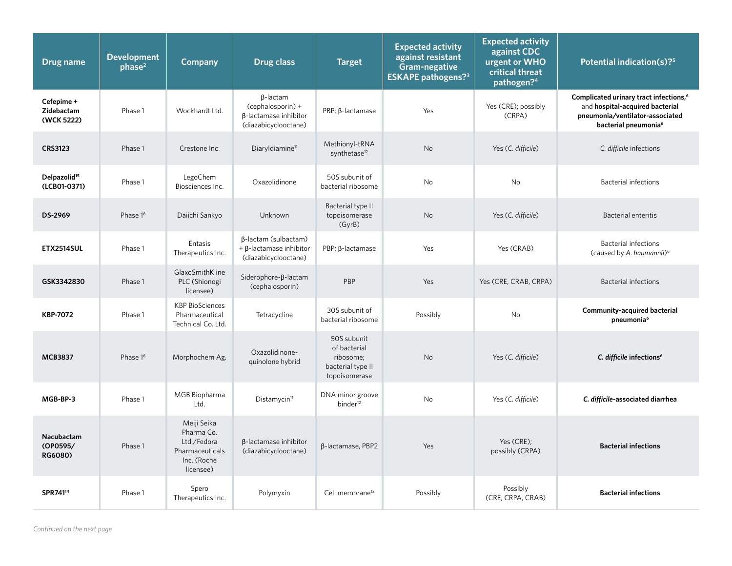| Drug name                                | <b>Development</b><br>phase <sup>2</sup> | <b>Company</b>                                                                          | <b>Drug class</b>                                                                     | <b>Target</b>                                                                  | <b>Expected activity</b><br>against resistant<br>Gram-negative<br><b>ESKAPE</b> pathogens? <sup>3</sup> | <b>Expected activity</b><br>against CDC<br>urgent or WHO<br>critical threat<br>pathogen? <sup>4</sup> | Potential indication(s)? <sup>5</sup>                                                                                                                        |
|------------------------------------------|------------------------------------------|-----------------------------------------------------------------------------------------|---------------------------------------------------------------------------------------|--------------------------------------------------------------------------------|---------------------------------------------------------------------------------------------------------|-------------------------------------------------------------------------------------------------------|--------------------------------------------------------------------------------------------------------------------------------------------------------------|
| Cefepime +<br>Zidebactam<br>(WCK 5222)   | Phase 1                                  | Wockhardt Ltd.                                                                          | $\beta$ -lactam<br>(cephalosporin) +<br>β-lactamase inhibitor<br>(diazabicyclooctane) | PBP; ß-lactamase                                                               | Yes                                                                                                     | Yes (CRE); possibly<br>(CRPA)                                                                         | Complicated urinary tract infections, <sup>6</sup><br>and hospital-acquired bacterial<br>pneumonia/ventilator-associated<br>bacterial pneumonia <sup>6</sup> |
| <b>CRS3123</b>                           | Phase 1                                  | Crestone Inc.                                                                           | Diaryldiamine <sup>11</sup>                                                           | Methionyl-tRNA<br>synthetase <sup>12</sup>                                     | No                                                                                                      | Yes (C. difficile)                                                                                    | C. difficile infections                                                                                                                                      |
| Delpazolid <sup>15</sup><br>(LCB01-0371) | Phase 1                                  | LegoChem<br>Biosciences Inc.                                                            | Oxazolidinone                                                                         | 50S subunit of<br>bacterial ribosome                                           | No                                                                                                      | No.                                                                                                   | <b>Bacterial infections</b>                                                                                                                                  |
| DS-2969                                  | Phase 1 <sup>6</sup>                     | Daiichi Sankyo                                                                          | <b>Unknown</b>                                                                        | Bacterial type II<br>topoisomerase<br>(GyrB)                                   | <b>No</b>                                                                                               | Yes (C. difficile)                                                                                    | <b>Bacterial enteritis</b>                                                                                                                                   |
| <b>ETX2514SUL</b>                        | Phase 1                                  | Entasis<br>Therapeutics Inc.                                                            | β-lactam (sulbactam)<br>$+ \beta$ -lactamase inhibitor<br>(diazabicyclooctane)        | PBP; ß-lactamase                                                               | Yes                                                                                                     | Yes (CRAB)                                                                                            | <b>Bacterial infections</b><br>(caused by A. baumannii) <sup>6</sup>                                                                                         |
| GSK3342830                               | Phase 1                                  | GlaxoSmithKline<br>PLC (Shionogi<br>licensee)                                           | Siderophore-β-lactam<br>(cephalosporin)                                               | PBP                                                                            | Yes                                                                                                     | Yes (CRE, CRAB, CRPA)                                                                                 | <b>Bacterial infections</b>                                                                                                                                  |
| <b>KBP-7072</b>                          | Phase 1                                  | <b>KBP BioSciences</b><br>Pharmaceutical<br>Technical Co. Ltd.                          | Tetracycline                                                                          | 30S subunit of<br>bacterial ribosome                                           | Possibly                                                                                                | No                                                                                                    | <b>Community-acquired bacterial</b><br>pneumonia <sup>6</sup>                                                                                                |
| <b>MCB3837</b>                           | Phase 1 <sup>6</sup>                     | Morphochem Ag.                                                                          | Oxazolidinone-<br>quinolone hybrid                                                    | 50S subunit<br>of bacterial<br>ribosome;<br>bacterial type II<br>topoisomerase | <b>No</b>                                                                                               | Yes (C. difficile)                                                                                    | C. difficile infections <sup>6</sup>                                                                                                                         |
| MGB-BP-3                                 | Phase 1                                  | MGB Biopharma<br>Ltd.                                                                   | Distamycin <sup>11</sup>                                                              | DNA minor groove<br>binder <sup>12</sup>                                       | <b>No</b>                                                                                               | Yes (C. difficile)                                                                                    | C. difficile-associated diarrhea                                                                                                                             |
| Nacubactam<br>(OP0595/<br>RG6080)        | Phase 1                                  | Meiji Seika<br>Pharma Co.<br>Ltd./Fedora<br>Pharmaceuticals<br>Inc. (Roche<br>licensee) | β-lactamase inhibitor<br>(diazabicyclooctane)                                         | B-lactamase, PBP2                                                              | Yes                                                                                                     | Yes (CRE):<br>possibly (CRPA)                                                                         | <b>Bacterial infections</b>                                                                                                                                  |
| SPR741 <sup>14</sup>                     | Phase 1                                  | Spero<br>Therapeutics Inc.                                                              | Polymyxin                                                                             | Cell membrane <sup>12</sup>                                                    | Possibly                                                                                                | Possibly<br>(CRE, CRPA, CRAB)                                                                         | <b>Bacterial infections</b>                                                                                                                                  |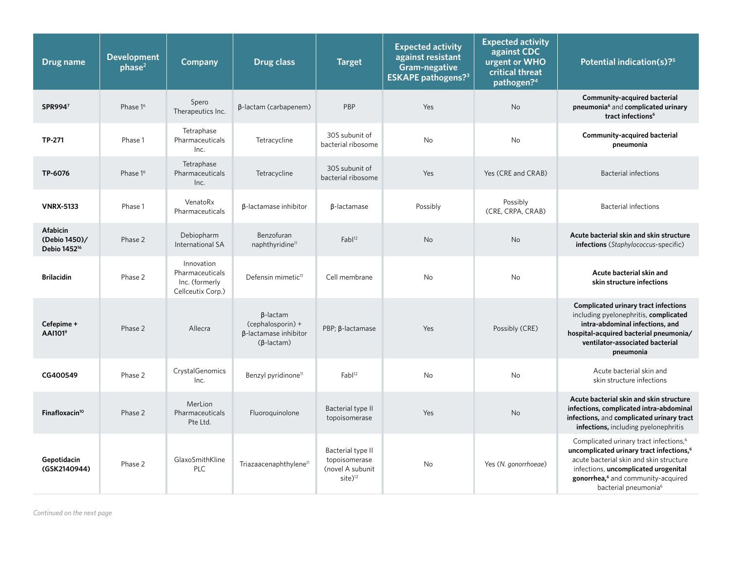| Drug name                                                    | <b>Development</b><br>phase <sup>2</sup> | Company                                                              | <b>Drug class</b>                                                                         | <b>Target</b>                                                                  | <b>Expected activity</b><br>against resistant<br>Gram-negative<br><b>ESKAPE</b> pathogens? <sup>3</sup> | <b>Expected activity</b><br>against CDC<br>urgent or WHO<br>critical threat<br>pathogen? <sup>4</sup> | Potential indication(s)? <sup>5</sup>                                                                                                                                                                                                                                               |
|--------------------------------------------------------------|------------------------------------------|----------------------------------------------------------------------|-------------------------------------------------------------------------------------------|--------------------------------------------------------------------------------|---------------------------------------------------------------------------------------------------------|-------------------------------------------------------------------------------------------------------|-------------------------------------------------------------------------------------------------------------------------------------------------------------------------------------------------------------------------------------------------------------------------------------|
| SPR9947                                                      | Phase 1 <sup>6</sup>                     | Spero<br>Therapeutics Inc.                                           | $\beta$ -lactam (carbapenem)                                                              | PBP                                                                            | Yes                                                                                                     | <b>No</b>                                                                                             | Community-acquired bacterial<br>pneumonia <sup>6</sup> and complicated urinary<br>tract infections <sup>6</sup>                                                                                                                                                                     |
| TP-271                                                       | Phase 1                                  | Tetraphase<br>Pharmaceuticals<br>Inc.                                | Tetracycline                                                                              | 30S subunit of<br>bacterial ribosome                                           | No                                                                                                      | No                                                                                                    | Community-acquired bacterial<br>pneumonia                                                                                                                                                                                                                                           |
| TP-6076                                                      | Phase 1 <sup>6</sup>                     | Tetraphase<br>Pharmaceuticals<br>Inc.                                | Tetracycline                                                                              | 30S subunit of<br>bacterial ribosome                                           | Yes                                                                                                     | Yes (CRE and CRAB)                                                                                    | <b>Bacterial infections</b>                                                                                                                                                                                                                                                         |
| <b>VNRX-5133</b>                                             | Phase 1                                  | VenatoRx<br>Pharmaceuticals                                          | β-lactamase inhibitor                                                                     | β-lactamase                                                                    | Possibly                                                                                                | Possibly<br>(CRE, CRPA, CRAB)                                                                         | <b>Bacterial infections</b>                                                                                                                                                                                                                                                         |
| <b>Afabicin</b><br>(Debio 1450)/<br>Debio 1452 <sup>16</sup> | Phase 2                                  | Debiopharm<br>International SA                                       | Benzofuran<br>naphthyridine <sup>11</sup>                                                 | Fabl <sup>12</sup>                                                             | <b>No</b>                                                                                               | <b>No</b>                                                                                             | Acute bacterial skin and skin structure<br>infections (Staphylococcus-specific)                                                                                                                                                                                                     |
| <b>Brilacidin</b>                                            | Phase 2                                  | Innovation<br>Pharmaceuticals<br>Inc. (formerly<br>Cellceutix Corp.) | Defensin mimetic <sup>11</sup>                                                            | Cell membrane                                                                  | <b>No</b>                                                                                               | <b>No</b>                                                                                             | Acute bacterial skin and<br>skin structure infections                                                                                                                                                                                                                               |
| Cefepime +<br>AAI101 <sup>9</sup>                            | Phase 2                                  | Allecra                                                              | $\beta$ -lactam<br>(cephalosporin) +<br>$\beta$ -lactamase inhibitor<br>$(\beta$ -lactam) | PBP; $β$ -lactamase                                                            | Yes                                                                                                     | Possibly (CRE)                                                                                        | <b>Complicated urinary tract infections</b><br>including pyelonephritis, complicated<br>intra-abdominal infections, and<br>hospital-acquired bacterial pneumonia/<br>ventilator-associated bacterial<br>pneumonia                                                                   |
| CG400549                                                     | Phase 2                                  | CrystalGenomics<br>Inc.                                              | Benzyl pyridinone <sup>11</sup>                                                           | $Fab1^{12}$                                                                    | <b>No</b>                                                                                               | No                                                                                                    | Acute bacterial skin and<br>skin structure infections                                                                                                                                                                                                                               |
| Finafloxacin $10$                                            | Phase 2                                  | MerLion<br>Pharmaceuticals<br>Pte Ltd.                               | Fluoroquinolone                                                                           | Bacterial type II<br>topoisomerase                                             | Yes                                                                                                     | No                                                                                                    | Acute bacterial skin and skin structure<br>infections, complicated intra-abdominal<br>infections, and complicated urinary tract<br>infections, including pyelonephritis                                                                                                             |
| Gepotidacin<br>(GSK2140944)                                  | Phase 2                                  | GlaxoSmithKline<br><b>PLC</b>                                        | Triazaacenaphthylene <sup>11</sup>                                                        | Bacterial type II<br>topoisomerase<br>(novel A subunit<br>$site$ <sup>12</sup> | No                                                                                                      | Yes (N. gonorrhoeae)                                                                                  | Complicated urinary tract infections, <sup>6</sup><br>uncomplicated urinary tract infections, <sup>6</sup><br>acute bacterial skin and skin structure<br>infections, uncomplicated urogenital<br>gonorrhea, <sup>6</sup> and community-acquired<br>bacterial pneumonia <sup>6</sup> |

*Continued on the next page*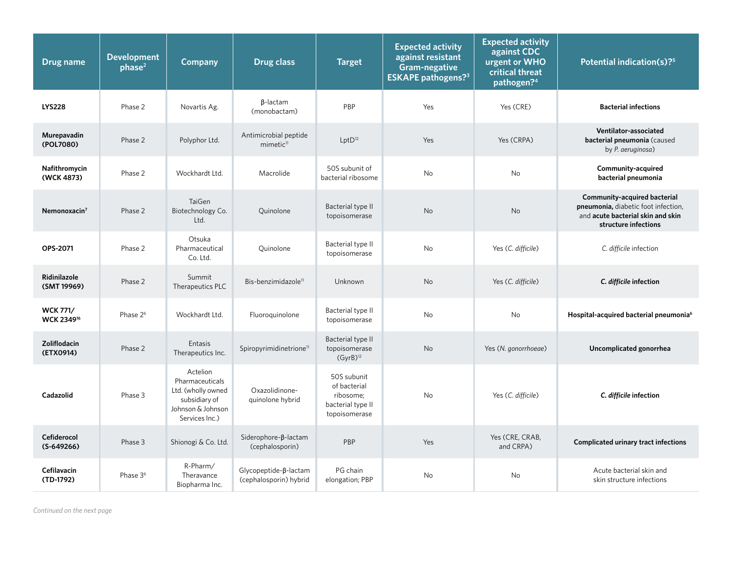| Drug name                                 | <b>Development</b><br>phase <sup>2</sup> | <b>Company</b>                                                                                            | <b>Drug class</b>                               | <b>Target</b>                                                                  | <b>Expected activity</b><br>against resistant<br>Gram-negative<br><b>ESKAPE</b> pathogens? <sup>3</sup> | <b>Expected activity</b><br>against CDC<br>urgent or WHO<br>critical threat<br>pathogen? <sup>4</sup> | Potential indication(s)? <sup>5</sup>                                                                                            |
|-------------------------------------------|------------------------------------------|-----------------------------------------------------------------------------------------------------------|-------------------------------------------------|--------------------------------------------------------------------------------|---------------------------------------------------------------------------------------------------------|-------------------------------------------------------------------------------------------------------|----------------------------------------------------------------------------------------------------------------------------------|
| <b>LYS228</b>                             | Phase 2                                  | Novartis Ag.                                                                                              | $\beta$ -lactam<br>(monobactam)                 | PBP                                                                            | Yes                                                                                                     | Yes (CRE)                                                                                             | <b>Bacterial infections</b>                                                                                                      |
| Murepavadin<br>(POL7080)                  | Phase 2                                  | Polyphor Ltd.                                                                                             | Antimicrobial peptide<br>mimetic <sup>11</sup>  | $LptD^{12}$                                                                    | Yes                                                                                                     | Yes (CRPA)                                                                                            | Ventilator-associated<br>bacterial pneumonia (caused<br>by P. aeruginosa)                                                        |
| Nafithromycin<br>(WCK 4873)               | Phase 2                                  | Wockhardt Ltd.                                                                                            | Macrolide                                       | 50S subunit of<br>bacterial ribosome                                           | <b>No</b>                                                                                               | <b>No</b>                                                                                             | Community-acquired<br>bacterial pneumonia                                                                                        |
| Nemonoxacin <sup>7</sup>                  | Phase 2                                  | TaiGen<br>Biotechnology Co.<br>Ltd.                                                                       | Quinolone                                       | Bacterial type II<br>topoisomerase                                             | <b>No</b>                                                                                               | <b>No</b>                                                                                             | Community-acquired bacterial<br>pneumonia, diabetic foot infection,<br>and acute bacterial skin and skin<br>structure infections |
| OPS-2071                                  | Phase 2                                  | Otsuka<br>Pharmaceutical<br>Co. Ltd.                                                                      | Ouinolone                                       | Bacterial type II<br>topoisomerase                                             | <b>No</b>                                                                                               | Yes (C. difficile)                                                                                    | C. difficile infection                                                                                                           |
| Ridinilazole<br>(SMT 19969)               | Phase 2                                  | Summit<br>Therapeutics PLC                                                                                | Bis-benzimidazole <sup>11</sup>                 | Unknown                                                                        | No                                                                                                      | Yes (C. difficile)                                                                                    | C. difficile infection                                                                                                           |
| <b>WCK 771/</b><br>WCK 2349 <sup>16</sup> | Phase 2 <sup>6</sup>                     | Wockhardt Ltd.                                                                                            | Fluoroquinolone                                 | Bacterial type II<br>topoisomerase                                             | <b>No</b>                                                                                               | <b>No</b>                                                                                             | Hospital-acquired bacterial pneumonia <sup>6</sup>                                                                               |
| Zoliflodacin<br>(ETX0914)                 | Phase 2                                  | Entasis<br>Therapeutics Inc.                                                                              | Spiropyrimidinetrione <sup>11</sup>             | Bacterial type II<br>topoisomerase<br>(GyrB) <sup>12</sup>                     | No                                                                                                      | Yes (N. gonorrhoeae)                                                                                  | Uncomplicated gonorrhea                                                                                                          |
| Cadazolid                                 | Phase 3                                  | Actelion<br>Pharmaceuticals<br>Ltd. (wholly owned<br>subsidiary of<br>Johnson & Johnson<br>Services Inc.) | Oxazolidinone-<br>quinolone hybrid              | 50S subunit<br>of bacterial<br>ribosome;<br>bacterial type II<br>topoisomerase | No                                                                                                      | Yes (C. difficile)                                                                                    | C. difficile infection                                                                                                           |
| Cefiderocol<br>$(S-649266)$               | Phase 3                                  | Shionogi & Co. Ltd.                                                                                       | Siderophore-β-lactam<br>(cephalosporin)         | PBP                                                                            | Yes                                                                                                     | Yes (CRE, CRAB,<br>and CRPA)                                                                          | <b>Complicated urinary tract infections</b>                                                                                      |
| Cefilavacin<br>(TD-1792)                  | Phase 3 <sup>6</sup>                     | R-Pharm/<br>Theravance<br>Biopharma Inc.                                                                  | Glycopeptide-ß-lactam<br>(cephalosporin) hybrid | PG chain<br>elongation; PBP                                                    | <b>No</b>                                                                                               | <b>No</b>                                                                                             | Acute bacterial skin and<br>skin structure infections                                                                            |

*Continued on the next page*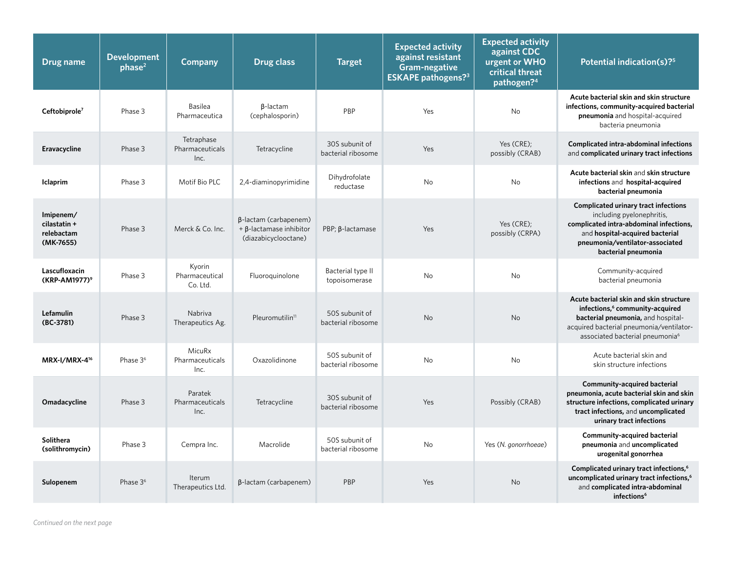| Drug name                                            | <b>Development</b><br>phase <sup>2</sup> | Company                               | <b>Drug class</b>                                                               | <b>Target</b>                        | <b>Expected activity</b><br>against resistant<br>Gram-negative<br><b>ESKAPE pathogens?</b> <sup>3</sup> | <b>Expected activity</b><br>against CDC<br>urgent or WHO<br>critical threat<br>pathogen? <sup>4</sup> | Potential indication(s)? <sup>5</sup>                                                                                                                                                                                   |
|------------------------------------------------------|------------------------------------------|---------------------------------------|---------------------------------------------------------------------------------|--------------------------------------|---------------------------------------------------------------------------------------------------------|-------------------------------------------------------------------------------------------------------|-------------------------------------------------------------------------------------------------------------------------------------------------------------------------------------------------------------------------|
| Ceftobiprole <sup>7</sup>                            | Phase 3                                  | <b>Basilea</b><br>Pharmaceutica       | $\beta$ -lactam<br>(cephalosporin)                                              | PBP                                  | Yes                                                                                                     | <b>No</b>                                                                                             | Acute bacterial skin and skin structure<br>infections, community-acquired bacterial<br>pneumonia and hospital-acquired<br>bacteria pneumonia                                                                            |
| Eravacycline                                         | Phase 3                                  | Tetraphase<br>Pharmaceuticals<br>Inc. | Tetracycline                                                                    | 30S subunit of<br>bacterial ribosome | Yes                                                                                                     | Yes (CRE);<br>possibly (CRAB)                                                                         | <b>Complicated intra-abdominal infections</b><br>and complicated urinary tract infections                                                                                                                               |
| <b>Iclaprim</b>                                      | Phase 3                                  | Motif Bio PLC                         | 2,4-diaminopyrimidine                                                           | Dihydrofolate<br>reductase           | No                                                                                                      | No                                                                                                    | Acute bacterial skin and skin structure<br>infections and hospital-acquired<br>bacterial pneumonia                                                                                                                      |
| Imipenem/<br>cilastatin +<br>relebactam<br>(MK-7655) | Phase 3                                  | Merck & Co. Inc.                      | β-lactam (carbapenem)<br>$+ \beta$ -lactamase inhibitor<br>(diazabicyclooctane) | PBP; B-lactamase                     | Yes                                                                                                     | Yes (CRE);<br>possibly (CRPA)                                                                         | <b>Complicated urinary tract infections</b><br>including pyelonephritis,<br>complicated intra-abdominal infections,<br>and hospital-acquired bacterial<br>pneumonia/ventilator-associated<br>bacterial pneumonia        |
| Lascufloxacin<br>(KRP-AM1977) <sup>9</sup>           | Phase 3                                  | Kyorin<br>Pharmaceutical<br>Co. Ltd.  | Fluoroquinolone                                                                 | Bacterial type II<br>topoisomerase   | No                                                                                                      | <b>No</b>                                                                                             | Community-acquired<br>bacterial pneumonia                                                                                                                                                                               |
| Lefamulin<br>(BC-3781)                               | Phase 3                                  | Nabriva<br>Therapeutics Ag.           | Pleuromutilin <sup>11</sup>                                                     | 50S subunit of<br>bacterial ribosome | No                                                                                                      | No                                                                                                    | Acute bacterial skin and skin structure<br>infections, <sup>6</sup> community-acquired<br>bacterial pneumonia, and hospital-<br>acquired bacterial pneumonia/ventilator-<br>associated bacterial pneumonia <sup>6</sup> |
| MRX-I/MRX-4 <sup>16</sup>                            | Phase 3 <sup>6</sup>                     | MicuRx<br>Pharmaceuticals<br>Inc.     | Oxazolidinone                                                                   | 50S subunit of<br>bacterial ribosome | <b>No</b>                                                                                               | <b>No</b>                                                                                             | Acute bacterial skin and<br>skin structure infections                                                                                                                                                                   |
| Omadacycline                                         | Phase 3                                  | Paratek<br>Pharmaceuticals<br>Inc.    | Tetracycline                                                                    | 30S subunit of<br>bacterial ribosome | Yes                                                                                                     | Possibly (CRAB)                                                                                       | <b>Community-acquired bacterial</b><br>pneumonia, acute bacterial skin and skin<br>structure infections, complicated urinary<br>tract infections, and uncomplicated<br>urinary tract infections                         |
| <b>Solithera</b><br>(solithromycin)                  | Phase 3                                  | Cempra Inc.                           | Macrolide                                                                       | 50S subunit of<br>bacterial ribosome | No                                                                                                      | Yes (N. gonorrhoeae)                                                                                  | <b>Community-acquired bacterial</b><br>pneumonia and uncomplicated<br>urogenital gonorrhea                                                                                                                              |
| Sulopenem                                            | Phase 3 <sup>6</sup>                     | Iterum<br>Therapeutics Ltd.           | β-lactam (carbapenem)                                                           | PBP                                  | Yes                                                                                                     | <b>No</b>                                                                                             | Complicated urinary tract infections, <sup>6</sup><br>uncomplicated urinary tract infections, <sup>6</sup><br>and complicated intra-abdominal<br>infections <sup>6</sup>                                                |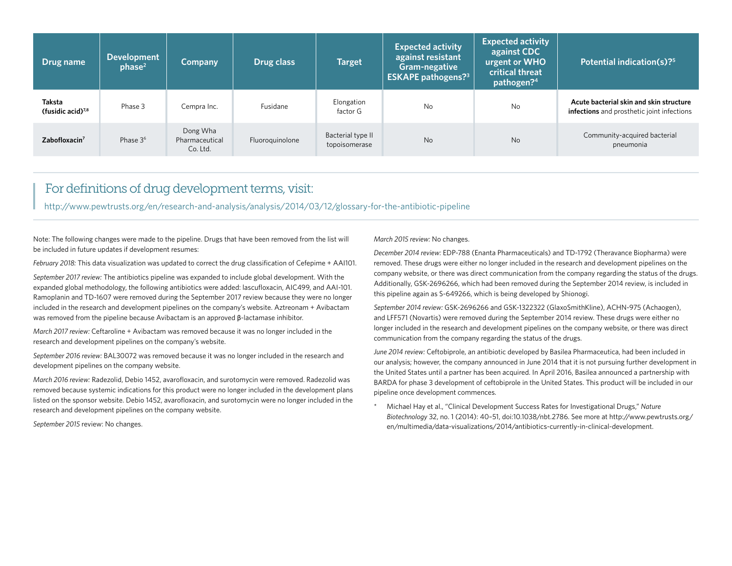| Drug name                         | <b>Development</b><br>phase <sup>2</sup> | <b>Company</b>                         | Drug class      | <b>Target</b>                      | <b>Expected activity</b><br>against resistant<br>Gram-negative<br><b>ESKAPE pathogens?</b> 3 | <b>Expected activity</b><br>against CDC<br>urgent or WHO<br>critical threat<br>pathogen? <sup>4</sup> | Potential indication(s)? <sup>5</sup>                                                 |
|-----------------------------------|------------------------------------------|----------------------------------------|-----------------|------------------------------------|----------------------------------------------------------------------------------------------|-------------------------------------------------------------------------------------------------------|---------------------------------------------------------------------------------------|
| Taksta<br>(fusidic acid) $^{7,8}$ | Phase 3                                  | Cempra Inc.                            | Fusidane        | Elongation<br>factor G             | No                                                                                           | No                                                                                                    | Acute bacterial skin and skin structure<br>infections and prosthetic joint infections |
| Zabofloxacin <sup>7</sup>         | Phase 3 <sup>6</sup>                     | Dong Wha<br>Pharmaceutical<br>Co. Ltd. | Fluoroquinolone | Bacterial type II<br>topoisomerase | <b>No</b>                                                                                    | No                                                                                                    | Community-acquired bacterial<br>pneumonia                                             |

#### For definitions of drug development terms, visit:

<http://www.pewtrusts.org/en/research-and-analysis/analysis/2014/03/12/glossary-for-the-antibiotic-pipeline>

Note: The following changes were made to the pipeline. Drugs that have been removed from the list will be included in future updates if development resumes:

*February 2018:* This data visualization was updated to correct the drug classification of Cefepime + AAI101.

*September 2017 review:* The antibiotics pipeline was expanded to include global development. With the expanded global methodology, the following antibiotics were added: lascufloxacin, AIC499, and AAI-101. Ramoplanin and TD-1607 were removed during the September 2017 review because they were no longer included in the research and development pipelines on the company's website. Aztreonam + Avibactam was removed from the pipeline because Avibactam is an approved β-lactamase inhibitor.

*March 2017 review:* Ceftaroline + Avibactam was removed because it was no longer included in the research and development pipelines on the company's website.

*September 2016 review:* BAL30072 was removed because it was no longer included in the research and development pipelines on the company website.

*March 2016 review:* Radezolid, Debio 1452, avarofloxacin, and surotomycin were removed. Radezolid was removed because systemic indications for this product were no longer included in the development plans listed on the sponsor website. Debio 1452, avarofloxacin, and surotomycin were no longer included in the research and development pipelines on the company website.

*September 2015* review: No changes.

*March 2015 review:* No changes.

*December 2014 review:* EDP-788 (Enanta Pharmaceuticals) and TD-1792 (Theravance Biopharma) were removed. These drugs were either no longer included in the research and development pipelines on the company website, or there was direct communication from the company regarding the status of the drugs. Additionally, GSK-2696266, which had been removed during the September 2014 review, is included in this pipeline again as S-649266, which is being developed by Shionogi.

*September 2014 review:* GSK-2696266 and GSK-1322322 (GlaxoSmithKline), ACHN-975 (Achaogen), and LFF571 (Novartis) were removed during the September 2014 review. These drugs were either no longer included in the research and development pipelines on the company website, or there was direct communication from the company regarding the status of the drugs.

*June 2014 review:* Ceftobiprole, an antibiotic developed by Basilea Pharmaceutica, had been included in our analysis; however, the company announced in June 2014 that it is not pursuing further development in the United States until a partner has been acquired. In April 2016, Basilea announced a partnership with BARDA for phase 3 development of ceftobiprole in the United States. This product will be included in our pipeline once development commences.

\* Michael Hay et al., "Clinical Development Success Rates for Investigational Drugs," *Nature Biotechnology* 32, no. 1 (2014): 40–51, doi:10.1038/nbt.2786. See more at [http://www.pewtrusts.org/](http://www.pewtrusts.org/en/multimedia/data-visualizations/2014/antibiotics-currently-in-clinical-development) [en/multimedia/data-visualizations/2014/antibiotics-currently-in-clinical-development.](http://www.pewtrusts.org/en/multimedia/data-visualizations/2014/antibiotics-currently-in-clinical-development)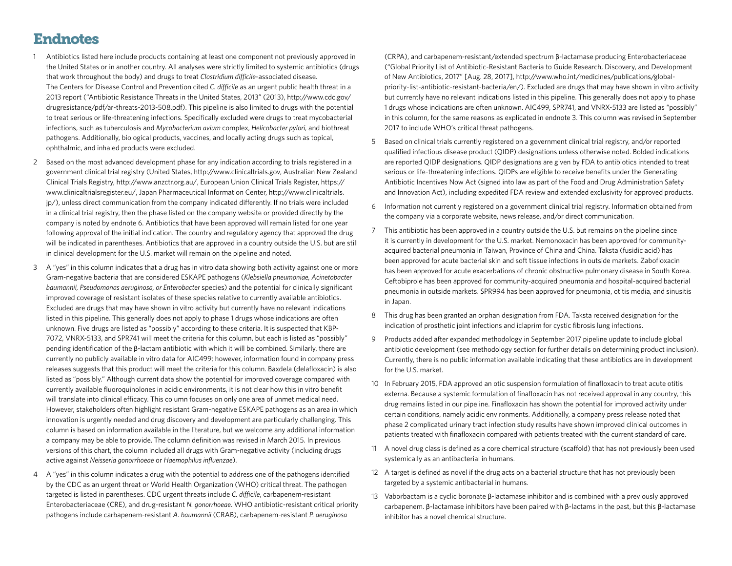## Endnotes

- 1 Antibiotics listed here include products containing at least one component not previously approved in the United States or in another country. All analyses were strictly limited to systemic antibiotics (drugs that work throughout the body) and drugs to treat *Clostridium difficile*-associated disease. The Centers for Disease Control and Prevention cited *C. difficile* as an urgent public health threat in a 2013 report ("Antibiotic Resistance Threats in the United States, 2013" (2013), [http://www.cdc.gov/](http://www.cdc.gov/drugresistance/pdf/ar-threats-2013-508.pdf) [drugresistance/pdf/ar-threats-2013-508.pdf](http://www.cdc.gov/drugresistance/pdf/ar-threats-2013-508.pdf)). This pipeline is also limited to drugs with the potential to treat serious or life-threatening infections. Specifically excluded were drugs to treat mycobacterial infections, such as tuberculosis and *Mycobacterium avium* complex, *Helicobacter pylori,* and biothreat pathogens. Additionally, biological products, vaccines, and locally acting drugs such as topical, ophthalmic, and inhaled products were excluded.
- 2 Based on the most advanced development phase for any indication according to trials registered in a government clinical trial registry (United States, [http://www.clinicaltrials.gov,](http://www.clinicaltrials.gov) Australian New Zealand Clinical Trials Registry,<http://www.anzctr.org.au/>, European Union Clinical Trials Register, [https://](https://www.clinicaltrialsregister.eu/) [www.clinicaltrialsregister.eu/,](https://www.clinicaltrialsregister.eu/) Japan Pharmaceutical Information Center, [http://www.clinicaltrials.](http://www.clinicaltrials.jp/) [jp/](http://www.clinicaltrials.jp/)), unless direct communication from the company indicated differently. If no trials were included in a clinical trial registry, then the phase listed on the company website or provided directly by the company is noted by endnote 6. Antibiotics that have been approved will remain listed for one year following approval of the initial indication. The country and regulatory agency that approved the drug will be indicated in parentheses. Antibiotics that are approved in a country outside the U.S. but are still in clinical development for the U.S. market will remain on the pipeline and noted.
- 3 A "yes" in this column indicates that a drug has in vitro data showing both activity against one or more Gram-negative bacteria that are considered ESKAPE pathogens (*Klebsiella pneumoniae, Acinetobacter baumannii, Pseudomonas aeruginosa, or Enterobacter* species) and the potential for clinically significant improved coverage of resistant isolates of these species relative to currently available antibiotics. Excluded are drugs that may have shown in vitro activity but currently have no relevant indications listed in this pipeline. This generally does not apply to phase 1 drugs whose indications are often unknown. Five drugs are listed as "possibly" according to these criteria. It is suspected that KBP-7072, VNRX-5133, and SPR741 will meet the criteria for this column, but each is listed as "possibly" pending identification of the β-lactam antibiotic with which it will be combined. Similarly, there are currently no publicly available in vitro data for AIC499; however, information found in company press releases suggests that this product will meet the criteria for this column. Baxdela (delafloxacin) is also listed as "possibly." Although current data show the potential for improved coverage compared with currently available fluoroquinolones in acidic environments, it is not clear how this in vitro benefit will translate into clinical efficacy. This column focuses on only one area of unmet medical need. However, stakeholders often highlight resistant Gram-negative ESKAPE pathogens as an area in which innovation is urgently needed and drug discovery and development are particularly challenging. This column is based on information available in the literature, but we welcome any additional information a company may be able to provide. The column definition was revised in March 2015. In previous versions of this chart, the column included all drugs with Gram-negative activity (including drugs active against *Neisseria gonorrhoeae* or *Haemophilus influenzae*).
- 4 A "yes" in this column indicates a drug with the potential to address one of the pathogens identified by the CDC as an urgent threat or World Health Organization (WHO) critical threat. The pathogen targeted is listed in parentheses. CDC urgent threats include *C. difficile*, carbapenem-resistant Enterobacteriaceae (CRE), and drug-resistant *N. gonorrhoeae*. WHO antibiotic-resistant critical priority pathogens include carbapenem-resistant *A. baumannii* (CRAB), carbapenem-resistant *P. aeruginosa*

(CRPA), and carbapenem-resistant/extended spectrum β-lactamase producing Enterobacteriaceae ("Global Priority List of Antibiotic-Resistant Bacteria to Guide Research, Discovery, and Development of New Antibiotics, 2017" [Aug. 28, 2017], [http://www.who.int/medicines/publications/global](http://www.who.int/medicines/publications/global-priority-list-antibiotic-resistant-bacteria/en/)[priority-list-antibiotic-resistant-bacteria/en/\)](http://www.who.int/medicines/publications/global-priority-list-antibiotic-resistant-bacteria/en/). Excluded are drugs that may have shown in vitro activity but currently have no relevant indications listed in this pipeline. This generally does not apply to phase 1 drugs whose indications are often unknown. AIC499, SPR741, and VNRX-5133 are listed as "possibly" in this column, for the same reasons as explicated in endnote 3. This column was revised in September 2017 to include WHO's critical threat pathogens.

- 5 Based on clinical trials currently registered on a government clinical trial registry, and/or reported qualified infectious disease product (QIDP) designations unless otherwise noted. Bolded indications are reported QIDP designations. QIDP designations are given by FDA to antibiotics intended to treat serious or life-threatening infections. QIDPs are eligible to receive benefits under the Generating Antibiotic Incentives Now Act (signed into law as part of the Food and Drug Administration Safety and Innovation Act), including expedited FDA review and extended exclusivity for approved products.
- 6 Information not currently registered on a government clinical trial registry. Information obtained from the company via a corporate website, news release, and/or direct communication.
- 7 This antibiotic has been approved in a country outside the U.S. but remains on the pipeline since it is currently in development for the U.S. market. Nemonoxacin has been approved for communityacquired bacterial pneumonia in Taiwan, Province of China and China. Taksta (fusidic acid) has been approved for acute bacterial skin and soft tissue infections in outside markets. Zabofloxacin has been approved for acute exacerbations of chronic obstructive pulmonary disease in South Korea. Ceftobiprole has been approved for community-acquired pneumonia and hospital-acquired bacterial pneumonia in outside markets. SPR994 has been approved for pneumonia, otitis media, and sinusitis in Japan.
- 8 This drug has been granted an orphan designation from FDA. Taksta received designation for the indication of prosthetic joint infections and iclaprim for cystic fibrosis lung infections.
- 9 Products added after expanded methodology in September 2017 pipeline update to include global antibiotic development (see methodology section for further details on determining product inclusion). Currently, there is no public information available indicating that these antibiotics are in development for the U.S. market.
- 10 In February 2015, FDA approved an otic suspension formulation of finafloxacin to treat acute otitis externa. Because a systemic formulation of finafloxacin has not received approval in any country, this drug remains listed in our pipeline. Finafloxacin has shown the potential for improved activity under certain conditions, namely acidic environments. Additionally, a company press release noted that phase 2 complicated urinary tract infection study results have shown improved clinical outcomes in patients treated with finafloxacin compared with patients treated with the current standard of care.
- 11 A novel drug class is defined as a core chemical structure (scaffold) that has not previously been used systemically as an antibacterial in humans.
- 12 A target is defined as novel if the drug acts on a bacterial structure that has not previously been targeted by a systemic antibacterial in humans.
- 13 Vaborbactam is a cyclic boronate β-lactamase inhibitor and is combined with a previously approved carbapenem. β-lactamase inhibitors have been paired with β-lactams in the past, but this β-lactamase inhibitor has a novel chemical structure.